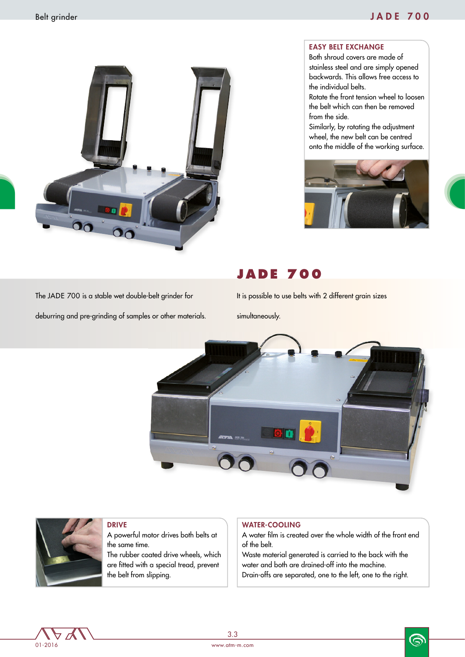## Belt grinder JADE 700



#### EASY BELT EXCHANGE

Both shroud covers are made of stainless steel and are simply opened backwards. This allows free access to the individual belts.

Rotate the front tension wheel to loosen the belt which can then be removed from the side.

Similarly, by rotating the adjustment wheel, the new belt can be centred onto the middle of the working surface.



# **JADE 700**

The JADE 700 is a stable wet double-belt grinder for

deburring and pre-grinding of samples or other materials.

It is possible to use belts with 2 different grain sizes

simultaneously.





### DRIVE

A powerful motor drives both belts at the same time. The rubber coated drive wheels, which are fitted with a special tread, prevent

### WATER-COOLING

A water film is created over the whole width of the front end of the belt.

Waste material generated is carried to the back with the water and both are drained-off into the machine. Drain-offs are separated, one to the left, one to the right.



ෛ